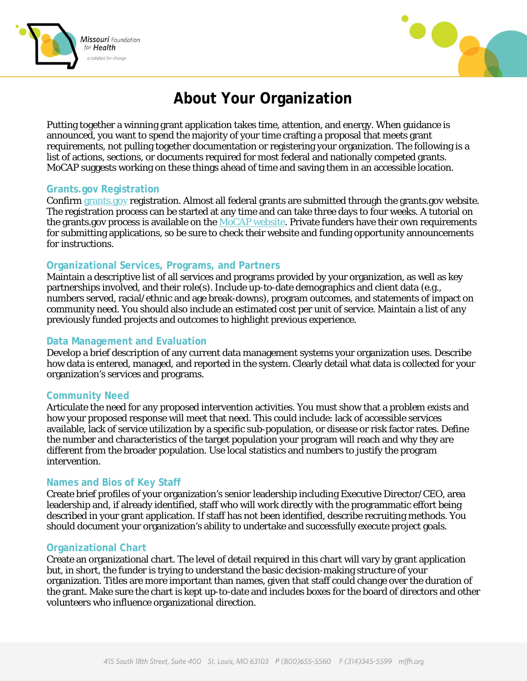



# **About Your Organization**

Putting together a winning grant application takes time, attention, and energy. When guidance is announced, you want to spend the majority of your time crafting a proposal that meets grant requirements, not pulling together documentation or registering your organization. The following is a list of actions, sections, or documents required for most federal and nationally competed grants. MoCAP suggests working on these things ahead of time and saving them in an accessible location.

#### **Grants.gov Registration**

Confirm [grants.gov](file://MFFH4/Common/HEALTH%20POLICY%20AREA/MoCAP/Communications%20tools/Web%20Page/Web%20Edits%202016/Materials%20for%20Grant%20Writing%20Resources%20Page/grants.gov) registration. Almost all federal grants are submitted through the grants.gov website. The registration process can be started at any time and can take three days to four weeks. A tutorial on the grants.gov process is available on the  $MoCAP$  website. Private funders have their own requirements for submitting applications, so be sure to check their website and funding opportunity announcements for instructions.

#### **Organizational Services, Programs, and Partners**

Maintain a descriptive list of all services and programs provided by your organization, as well as key partnerships involved, and their role(s). Include up-to-date demographics and client data (e.g., numbers served, racial/ethnic and age break-downs), program outcomes, and statements of impact on community need. You should also include an estimated cost per unit of service. Maintain a list of any previously funded projects and outcomes to highlight previous experience.

#### **Data Management and Evaluation**

Develop a brief description of any current data management systems your organization uses. Describe how data is entered, managed, and reported in the system. Clearly detail what data is collected for your organization's services and programs.

#### **Community Need**

Articulate the need for any proposed intervention activities. You must show that a problem exists and how your proposed response will meet that need. This could include: lack of accessible services available, lack of service utilization by a specific sub-population, or disease or risk factor rates. Define the number and characteristics of the target population your program will reach and why they are different from the broader population. Use local statistics and numbers to justify the program intervention.

#### **Names and Bios of Key Staff**

Create brief profiles of your organization's senior leadership including Executive Director/CEO, area leadership and, if already identified, staff who will work directly with the programmatic effort being described in your grant application. If staff has not been identified, describe recruiting methods. You should document your organization's ability to undertake and successfully execute project goals.

#### **Organizational Chart**

Create an organizational chart. The level of detail required in this chart will vary by grant application but, in short, the funder is trying to understand the basic decision-making structure of your organization. Titles are more important than names, given that staff could change over the duration of the grant. Make sure the chart is kept up-to-date and includes boxes for the board of directors and other volunteers who influence organizational direction.